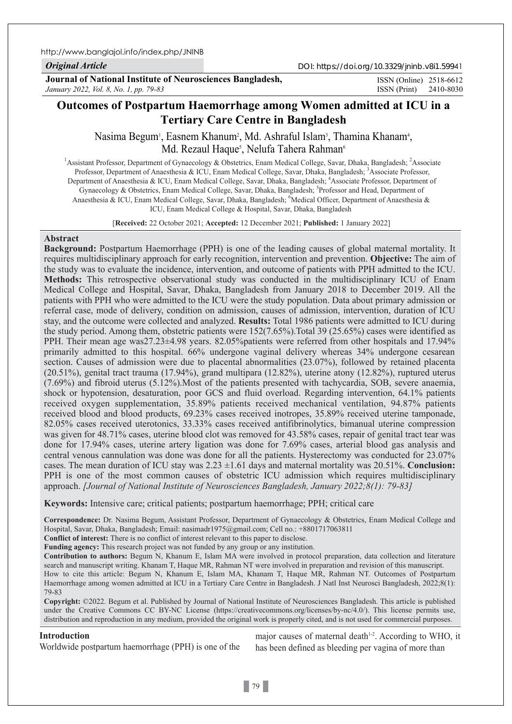http://www.banglajol.info/index.php/JNINB

## *Original Article*

DOI: https://doi.org/10.3329/jninb.v8i1.59941

**Journal of National Institute of Neurosciences Bangladesh,** *January 2022, Vol. 8, No. 1, pp. 79-83*

ISSN (Print) 2410-8030 ISSN (Online) 2518-6612

# **Outcomes of Postpartum Haemorrhage among Women admitted at ICU in a Tertiary Care Centre in Bangladesh**

Nasima Begum<sup>i</sup>, Easnem Khanum<sup>2</sup>, Md. Ashraful Islam<sup>3</sup>, Thamina Khanam<sup>4</sup>, Md. Rezaul Haque<sup>s</sup>, Nelufa Tahera Rahman<sup>6</sup>

<sup>1</sup> Assistant Professor, Department of Gynaecology & Obstetrics, Enam Medical College, Savar, Dhaka, Bangladesh; <sup>2</sup> Associate Professor, Department of Anaesthesia & ICU, Enam Medical College, Savar, Dhaka, Bangladesh; <sup>3</sup>Associate Professor, Department of Anaesthesia & ICU, Enam Medical College, Savar, Dhaka, Bangladesh; <sup>4</sup>Associate Professor, Department of Gynaecology & Obstetrics, Enam Medical College, Savar, Dhaka, Bangladesh; <sup>5</sup>Professor and Head, Department of Anaesthesia & ICU, Enam Medical College, Savar, Dhaka, Bangladesh; <sup>6</sup>Medical Officer, Department of Anaesthesia & ICU, Enam Medical College & Hospital, Savar, Dhaka, Bangladesh

[**Received:** 22 October 2021; **Accepted:** 12 December 2021; **Published:** 1 January 2022]

## **Abstract**

**Background:** Postpartum Haemorrhage (PPH) is one of the leading causes of global maternal mortality. It requires multidisciplinary approach for early recognition, intervention and prevention. **Objective:** The aim of the study was to evaluate the incidence, intervention, and outcome of patients with PPH admitted to the ICU. **Methods:** This retrospective observational study was conducted in the multidisciplinary ICU of Enam Medical College and Hospital, Savar, Dhaka, Bangladesh from January 2018 to December 2019. All the patients with PPH who were admitted to the ICU were the study population. Data about primary admission or referral case, mode of delivery, condition on admission, causes of admission, intervention, duration of ICU stay, and the outcome were collected and analyzed. **Results:** Total 1986 patients were admitted to ICU during the study period. Among them, obstetric patients were 152(7.65%).Total 39 (25.65%) cases were identified as PPH. Their mean age was27.23±4.98 years. 82.05%patients were referred from other hospitals and 17.94% primarily admitted to this hospital. 66% undergone vaginal delivery whereas 34% undergone cesarean section. Causes of admission were due to placental abnormalities (23.07%), followed by retained placenta (20.51%), genital tract trauma (17.94%), grand multipara (12.82%), uterine atony (12.82%), ruptured uterus (7.69%) and fibroid uterus (5.12%).Most of the patients presented with tachycardia, SOB, severe anaemia, shock or hypotension, desaturation, poor GCS and fluid overload. Regarding intervention, 64.1% patients received oxygen supplementation, 35.89% patients received mechanical ventilation, 94.87% patients received blood and blood products, 69.23% cases received inotropes, 35.89% received uterine tamponade, 82.05% cases received uterotonics, 33.33% cases received antifibrinolytics, bimanual uterine compression was given for 48.71% cases, uterine blood clot was removed for 43.58% cases, repair of genital tract tear was done for 17.94% cases, uterine artery ligation was done for 7.69% cases, arterial blood gas analysis and central venous cannulation was done was done for all the patients. Hysterectomy was conducted for 23.07% cases. The mean duration of ICU stay was  $2.23 \pm 1.61$  days and maternal mortality was  $20.51\%$ . **Conclusion:** PPH is one of the most common causes of obstetric ICU admission which requires multidisciplinary approach. *[Journal of National Institute of Neurosciences Bangladesh, January 2022;8(1): 79-83]*

**Keywords:** Intensive care; critical patients; postpartum haemorrhage; PPH; critical care

**Correspondence:** Dr. Nasima Begum, Assistant Professor, Department of Gynaecology & Obstetrics, Enam Medical College and Hospital, Savar, Dhaka, Bangladesh; Email: nasimadr1975@gmail.com; Cell no.: +8801717063811

**Conflict of interest:** There is no conflict of interest relevant to this paper to disclose.

**Funding agency:** This research project was not funded by any group or any institution.

**Contribution to authors:** Begum N, Khanum E, Islam MA were involved in protocol preparation, data collection and literature search and manuscript writing. Khanam T, Haque MR, Rahman NT were involved in preparation and revision of this manuscript.

How to cite this article: Begum N, Khanum E, Islam MA, Khanam T, Haque MR, Rahman NT. Outcomes of Postpartum Haemorrhage among women admitted at ICU in a Tertiary Care Centre in Bangladesh. J Natl Inst Neurosci Bangladesh, 2022;8(1): 79-83

**Copyright:** ©2022. Begum et al. Published by Journal of National Institute of Neurosciences Bangladesh. This article is published under the Creative Commons CC BY-NC License (https://creativecommons.org/licenses/by-nc/4.0/). This license permits use, distribution and reproduction in any medium, provided the original work is properly cited, and is not used for commercial purposes.

## **Introduction**

Worldwide postpartum haemorrhage (PPH) is one of the

major causes of maternal death $1-2$ . According to WHO, it has been defined as bleeding per vagina of more than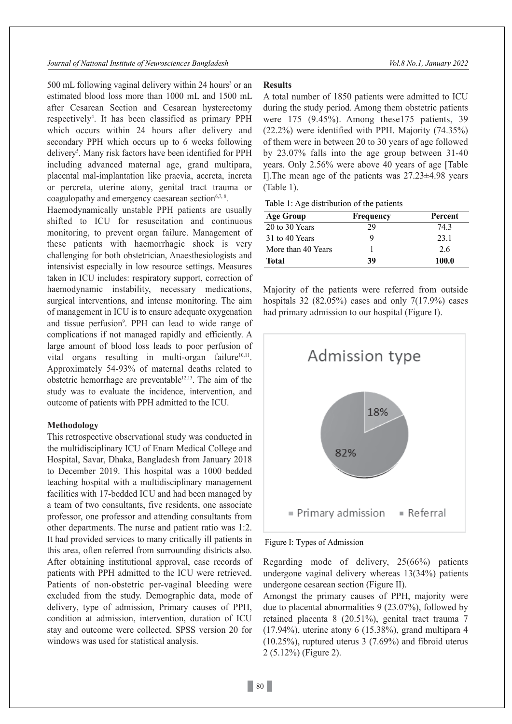$500$  mL following vaginal delivery within 24 hours<sup>3</sup> or an estimated blood loss more than 1000 mL and 1500 mL after Cesarean Section and Cesarean hysterectomy respectively<sup>4</sup>. It has been classified as primary PPH which occurs within 24 hours after delivery and secondary PPH which occurs up to 6 weeks following delivery<sup>5</sup>. Many risk factors have been identified for PPH including advanced maternal age, grand multipara, placental mal-implantation like praevia, accreta, increta or percreta, uterine atony, genital tract trauma or coagulopathy and emergency caesarean section<sup>6,7, 8</sup>.

Haemodynamically unstable PPH patients are usually shifted to ICU for resuscitation and continuous monitoring, to prevent organ failure. Management of these patients with haemorrhagic shock is very challenging for both obstetrician, Anaesthesiologists and intensivist especially in low resource settings. Measures taken in ICU includes: respiratory support, correction of haemodynamic instability, necessary medications, surgical interventions, and intense monitoring. The aim of management in ICU is to ensure adequate oxygenation and tissue perfusion<sup>9</sup>. PPH can lead to wide range of complications if not managed rapidly and efficiently. A large amount of blood loss leads to poor perfusion of vital organs resulting in multi-organ failure<sup>10,11</sup>. Approximately 54-93% of maternal deaths related to obstetric hemorrhage are preventable<sup>12,13</sup>. The aim of the study was to evaluate the incidence, intervention, and outcome of patients with PPH admitted to the ICU.

#### **Methodology**

This retrospective observational study was conducted in the multidisciplinary ICU of Enam Medical College and Hospital, Savar, Dhaka, Bangladesh from January 2018 to December 2019. This hospital was a 1000 bedded teaching hospital with a multidisciplinary management facilities with 17-bedded ICU and had been managed by a team of two consultants, five residents, one associate professor, one professor and attending consultants from other departments. The nurse and patient ratio was 1:2. It had provided services to many critically ill patients in this area, often referred from surrounding districts also. After obtaining institutional approval, case records of patients with PPH admitted to the ICU were retrieved. Patients of non-obstetric per-vaginal bleeding were excluded from the study. Demographic data, mode of delivery, type of admission, Primary causes of PPH, condition at admission, intervention, duration of ICU stay and outcome were collected. SPSS version 20 for windows was used for statistical analysis.

# **Results**

A total number of 1850 patients were admitted to ICU during the study period. Among them obstetric patients were 175 (9.45%). Among these175 patients, 39 (22.2%) were identified with PPH. Majority (74.35%) of them were in between 20 to 30 years of age followed by 23.07% falls into the age group between 31-40 years. Only 2.56% were above 40 years of age [Table I].The mean age of the patients was 27.23±4.98 years (Table 1).

Table 1: Age distribution of the patients

| <b>Age Group</b>   | Frequency | Percent |
|--------------------|-----------|---------|
| 20 to 30 Years     | 29        | 74.3    |
| 31 to 40 Years     |           | 23.1    |
| More than 40 Years |           | 2.6     |
| <b>Total</b>       | 39        | 100.0   |

Majority of the patients were referred from outside hospitals 32 (82.05%) cases and only  $7(17.9\%)$  cases had primary admission to our hospital (Figure I).



Figure I: Types of Admission

Regarding mode of delivery, 25(66%) patients undergone vaginal delivery whereas 13(34%) patients undergone cesarean section (Figure II).

Amongst the primary causes of PPH, majority were due to placental abnormalities 9 (23.07%), followed by retained placenta 8 (20.51%), genital tract trauma 7 (17.94%), uterine atony 6 (15.38%), grand multipara 4 (10.25%), ruptured uterus 3 (7.69%) and fibroid uterus 2 (5.12%) (Figure 2).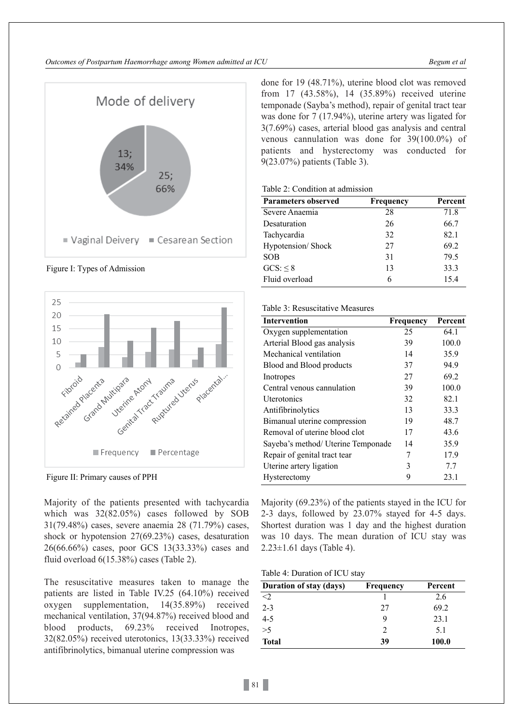

Figure I: Types of Admission



Figure II: Primary causes of PPH

Majority of the patients presented with tachycardia which was 32(82.05%) cases followed by SOB 31(79.48%) cases, severe anaemia 28 (71.79%) cases, shock or hypotension 27(69.23%) cases, desaturation 26(66.66%) cases, poor GCS 13(33.33%) cases and fluid overload 6(15.38%) cases (Table 2).

The resuscitative measures taken to manage the patients are listed in Table IV.25 (64.10%) received oxygen supplementation, 14(35.89%) received mechanical ventilation, 37(94.87%) received blood and blood products, 69.23% received Inotropes, 32(82.05%) received uterotonics, 13(33.33%) received antifibrinolytics, bimanual uterine compression was

done for 19 (48.71%), uterine blood clot was removed from 17 (43.58%), 14 (35.89%) received uterine temponade (Sayba's method), repair of genital tract tear was done for 7 (17.94%), uterine artery was ligated for 3(7.69%) cases, arterial blood gas analysis and central venous cannulation was done for 39(100.0%) of patients and hysterectomy was conducted for 9(23.07%) patients (Table 3).

## Table 2: Condition at admission

| <b>Parameters observed</b> | Frequency | Percent |  |
|----------------------------|-----------|---------|--|
| Severe Anaemia             | 28        | 71.8    |  |
| Desaturation               | 26        | 66.7    |  |
| Tachycardia                | 32        | 82.1    |  |
| Hypotension/Shock          | 27        | 69.2    |  |
| <b>SOB</b>                 | 31        | 79.5    |  |
| GCS: < 8                   | 13        | 33.3    |  |
| Fluid overload             | 6         | 15.4    |  |

#### Table 3: Resuscitative Measures

| <b>Intervention</b>                | Frequency | Percent |
|------------------------------------|-----------|---------|
| Oxygen supplementation             | 25        | 64.1    |
| Arterial Blood gas analysis        | 39        | 100.0   |
| Mechanical ventilation             | 14        | 35.9    |
| Blood and Blood products           | 37        | 94.9    |
| Inotropes                          | 27        | 69.2    |
| Central venous cannulation         | 39        | 100.0   |
| Uterotonics                        | 32        | 82.1    |
| Antifibrinolytics                  | 13        | 33.3    |
| Bimanual uterine compression       | 19        | 48.7    |
| Removal of uterine blood clot      | 17        | 43.6    |
| Sayeba's method/ Uterine Temponade | 14        | 35.9    |
| Repair of genital tract tear       | 7         | 17.9    |
| Uterine artery ligation            | 3         | 7.7     |
| Hysterectomy                       | 9         | 23.1    |

Majority (69.23%) of the patients stayed in the ICU for 2-3 days, followed by 23.07% stayed for 4-5 days. Shortest duration was 1 day and the highest duration was 10 days. The mean duration of ICU stay was 2.23±1.61 days (Table 4).

Table 4: Duration of ICU stay

| Duration of stay (days) | Frequency | Percent |  |
|-------------------------|-----------|---------|--|
| $<$ 2                   |           | 2.6     |  |
| $2 - 3$                 | 27        | 69.2    |  |
| $4 - 5$                 | 9         | 23.1    |  |
| >5                      | 2         | 5.1     |  |
| <b>Total</b>            | 39        | 100.0   |  |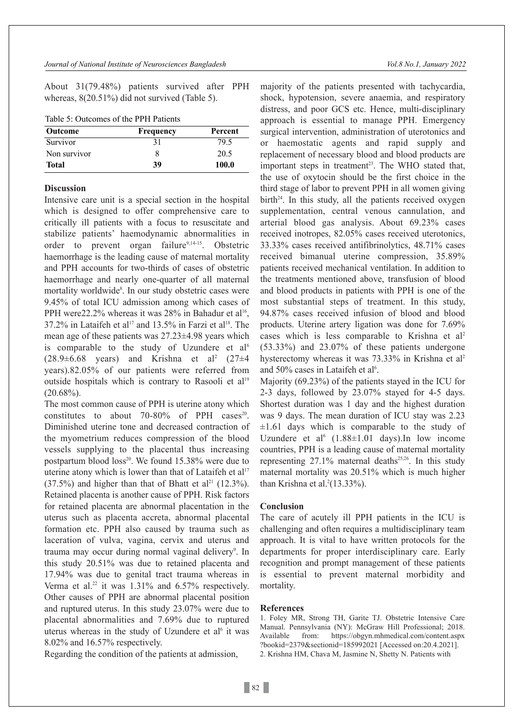About 31(79.48%) patients survived after PPH whereas, 8(20.51%) did not survived (Table 5).

| Table 5: Outcomes of the PPH Patients |  |  |  |
|---------------------------------------|--|--|--|
|---------------------------------------|--|--|--|

| <b>Outcome</b> | Frequency | Percent |
|----------------|-----------|---------|
| Survivor       |           | 79.5    |
| Non survivor   |           | 20.5    |
| <b>Total</b>   | 39        | 100.0   |

## **Discussion**

Intensive care unit is a special section in the hospital which is designed to offer comprehensive care to critically ill patients with a focus to resuscitate and stabilize patients' haemodynamic abnormalities in order to prevent organ failure<sup>9,14-15</sup>. Obstetric haemorrhage is the leading cause of maternal mortality and PPH accounts for two-thirds of cases of obstetric haemorrhage and nearly one-quarter of all maternal mortality worldwide<sup>8</sup>. In our study obstetric cases were 9.45% of total ICU admission among which cases of PPH were  $22.2\%$  whereas it was  $28\%$  in Bahadur et al<sup>16</sup>, 37.2% in Lataifeh et al<sup>17</sup> and 13.5% in Farzi et al<sup>18</sup>. The mean age of these patients was 27.23±4.98 years which is comparable to the study of Uzundere et al<sup>6</sup>  $(28.9 \pm 6.68$  years) and Krishna et al<sup>2</sup>  $(27 \pm 4)$ years).82.05% of our patients were referred from outside hospitals which is contrary to Rasooli et al<sup>19</sup>  $(20.68\%)$ .

The most common cause of PPH is uterine atony which constitutes to about 70-80% of PPH cases<sup>20</sup>. Diminished uterine tone and decreased contraction of the myometrium reduces compression of the blood vessels supplying to the placental thus increasing postpartum blood  $loss^{20}$ . We found 15.38% were due to uterine atony which is lower than that of Lataifeh et al<sup>17</sup>  $(37.5%)$  and higher than that of Bhatt et al<sup>21</sup>  $(12.3%)$ . Retained placenta is another cause of PPH. Risk factors for retained placenta are abnormal placentation in the uterus such as placenta accreta, abnormal placental formation etc. PPH also caused by trauma such as laceration of vulva, vagina, cervix and uterus and trauma may occur during normal vaginal delivery<sup>9</sup>. In this study 20.51% was due to retained placenta and 17.94% was due to genital tract trauma whereas in Verma et al.<sup>22</sup> it was  $1.31\%$  and  $6.57\%$  respectively. Other causes of PPH are abnormal placental position and ruptured uterus. In this study 23.07% were due to placental abnormalities and 7.69% due to ruptured uterus whereas in the study of Uzundere et  $al<sup>6</sup>$  it was 8.02% and 16.57% respectively.

Regarding the condition of the patients at admission,

majority of the patients presented with tachycardia, shock, hypotension, severe anaemia, and respiratory distress, and poor GCS etc. Hence, multi-disciplinary approach is essential to manage PPH. Emergency surgical intervention, administration of uterotonics and or haemostatic agents and rapid supply and replacement of necessary blood and blood products are important steps in treatment 23. The WHO stated that, the use of oxytocin should be the first choice in the third stage of labor to prevent PPH in all women giving  $birth<sup>24</sup>$ . In this study, all the patients received oxygen supplementation, central venous cannulation, and arterial blood gas analysis. About 69.23% cases received inotropes, 82.05% cases received uterotonics, 33.33% cases received antifibrinolytics, 48.71% cases received bimanual uterine compression, 35.89% patients received mechanical ventilation. In addition to the treatments mentioned above, transfusion of blood and blood products in patients with PPH is one of the most substantial steps of treatment. In this study, 94.87% cases received infusion of blood and blood products. Uterine artery ligation was done for 7.69% cases which is less comparable to Krishna et al 2 (53.33%) and 23.07% of these patients undergone hysterectomy whereas it was 73.33% in Krishna et al 2 and 50% cases in Lataifeh et al 6 .

Majority (69.23%) of the patients stayed in the ICU for 2-3 days, followed by 23.07% stayed for 4-5 days. Shortest duration was 1 day and the highest duration was 9 days. The mean duration of ICU stay was 2.23  $\pm 1.61$  days which is comparable to the study of Uzundere et al<sup>6</sup>  $(1.88 \pm 1.01$  days). In low income countries, PPH is a leading cause of maternal mortality representing  $27.1\%$  maternal deaths<sup>25,26</sup>. In this study maternal mortality was 20.51% which is much higher than Krishna et al. 2 (13.33%).

#### **Conclusion**

The care of acutely ill PPH patients in the ICU is challenging and often requires a multidisciplinary team approach. It is vital to have written protocols for the departments for proper interdisciplinary care. Early recognition and prompt management of these patients is essential to prevent maternal morbidity and mortality.

#### **References**

1. Foley MR, Strong TH, Garite TJ. Obstetric Intensive Care Manual. Pennsylvania (NY): McGraw Hill Professional; 2018. Available from: https://obgyn.mhmedical.com/content.aspx ?bookid=2379&sectionid=185992021 [Accessed on:20.4.2021]. 2. Krishna HM, Chava M, Jasmine N, Shetty N. Patients with